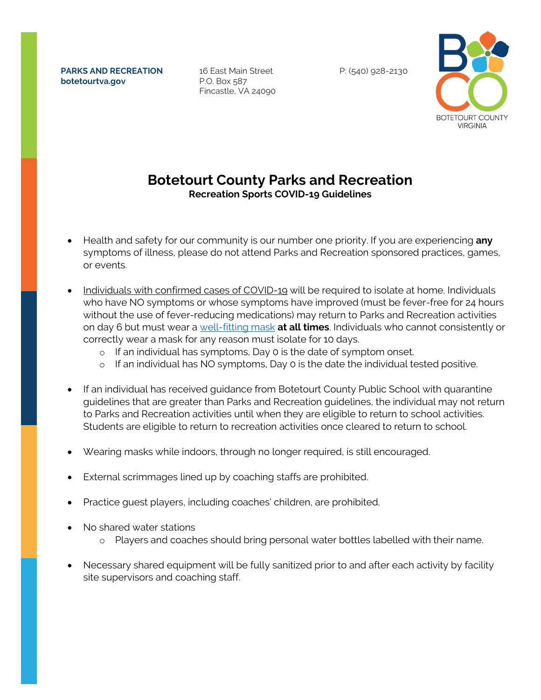**PARKS AND RECREATION botetourtva.gov**

16 East Main Street P.O. Box 587 Fincastle, VA 24090 P: (540) 928-2130



## **Botetourt County Parks and Recreation Recreation Sports COVID-19 Guidelines**

- Health and safety for our community is our number one priority. If you are experiencing **any** symptoms of illness, please do not attend Parks and Recreation sponsored practices, games, or events.
- Individuals with confirmed cases of COVID-19 will be required to isolate at home. Individuals who have NO symptoms or whose symptoms have improved (must be fever-free for 24 hours without the use of fever-reducing medications) may return to Parks and Recreation activities on day 6 but must wear a [well-fitting mask](https://www.cdc.gov/coronavirus/2019-ncov/your-health/effective-masks.html) **at all times**. Individuals who cannot consistently or correctly wear a mask for any reason must isolate for 10 days.
	- o If an individual has symptoms, Day 0 is the date of symptom onset.
	- o If an individual has NO symptoms, Day 0 is the date the individual tested positive.
- If an individual has received guidance from Botetourt County Public School with quarantine guidelines that are greater than Parks and Recreation guidelines, the individual may not return to Parks and Recreation activities until when they are eligible to return to school activities. Students are eligible to return to recreation activities once cleared to return to school.
- Wearing masks while indoors, through no longer required, is still encouraged.
- External scrimmages lined up by coaching staffs are prohibited.
- Practice guest players, including coaches' children, are prohibited.
- No shared water stations
	- o Players and coaches should bring personal water bottles labelled with their name.
- Necessary shared equipment will be fully sanitized prior to and after each activity by facility site supervisors and coaching staff.